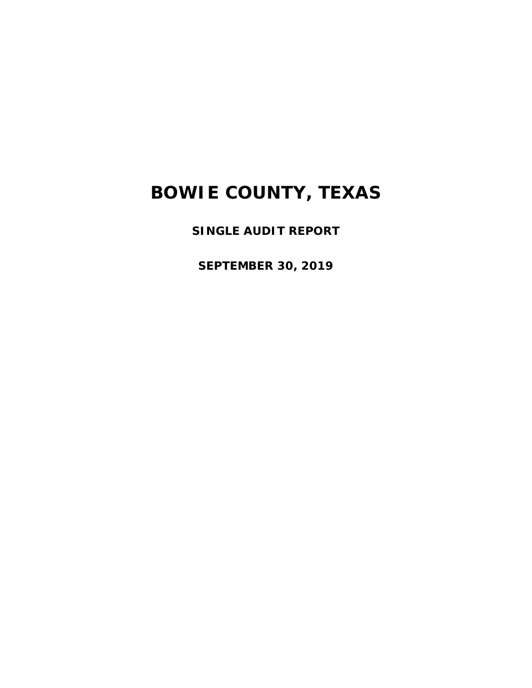**SINGLE AUDIT REPORT** 

**SEPTEMBER 30, 2019**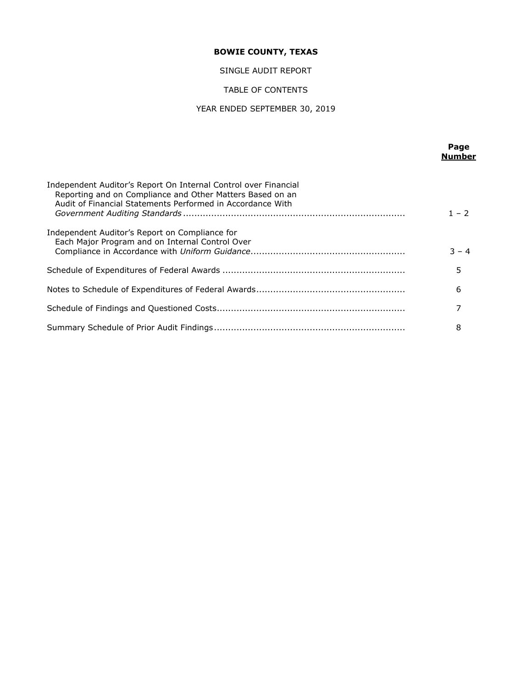SINGLE AUDIT REPORT

## TABLE OF CONTENTS

## YEAR ENDED SEPTEMBER 30, 2019

|                                                                                                                                                                                            | Page<br><b>Number</b> |
|--------------------------------------------------------------------------------------------------------------------------------------------------------------------------------------------|-----------------------|
| Independent Auditor's Report On Internal Control over Financial<br>Reporting and on Compliance and Other Matters Based on an<br>Audit of Financial Statements Performed in Accordance With | $1 - 2$               |
| Independent Auditor's Report on Compliance for<br>Each Major Program and on Internal Control Over                                                                                          | $3 - 4$               |
|                                                                                                                                                                                            | 5                     |
|                                                                                                                                                                                            | 6                     |
|                                                                                                                                                                                            | 7                     |
|                                                                                                                                                                                            | 8                     |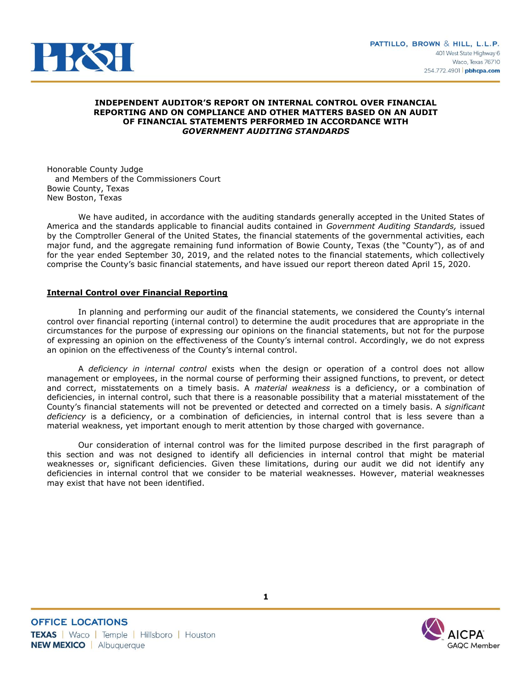

## **INDEPENDENT AUDITOR'S REPORT ON INTERNAL CONTROL OVER FINANCIAL REPORTING AND ON COMPLIANCE AND OTHER MATTERS BASED ON AN AUDIT OF FINANCIAL STATEMENTS PERFORMED IN ACCORDANCE WITH**  *GOVERNMENT AUDITING STANDARDS*

Honorable County Judge and Members of the Commissioners Court Bowie County, Texas New Boston, Texas

We have audited, in accordance with the auditing standards generally accepted in the United States of America and the standards applicable to financial audits contained in *Government Auditing Standards,* issued by the Comptroller General of the United States, the financial statements of the governmental activities, each major fund, and the aggregate remaining fund information of Bowie County, Texas (the "County"), as of and for the year ended September 30, 2019, and the related notes to the financial statements, which collectively comprise the County's basic financial statements, and have issued our report thereon dated April 15, 2020.

## **Internal Control over Financial Reporting**

In planning and performing our audit of the financial statements, we considered the County's internal control over financial reporting (internal control) to determine the audit procedures that are appropriate in the circumstances for the purpose of expressing our opinions on the financial statements, but not for the purpose of expressing an opinion on the effectiveness of the County's internal control. Accordingly, we do not express an opinion on the effectiveness of the County's internal control.

A *deficiency in internal control* exists when the design or operation of a control does not allow management or employees, in the normal course of performing their assigned functions, to prevent, or detect and correct, misstatements on a timely basis. A *material weakness* is a deficiency, or a combination of deficiencies, in internal control, such that there is a reasonable possibility that a material misstatement of the County's financial statements will not be prevented or detected and corrected on a timely basis. A *significant deficiency* is a deficiency, or a combination of deficiencies, in internal control that is less severe than a material weakness, yet important enough to merit attention by those charged with governance.

Our consideration of internal control was for the limited purpose described in the first paragraph of this section and was not designed to identify all deficiencies in internal control that might be material weaknesses or, significant deficiencies. Given these limitations, during our audit we did not identify any deficiencies in internal control that we consider to be material weaknesses. However, material weaknesses may exist that have not been identified.

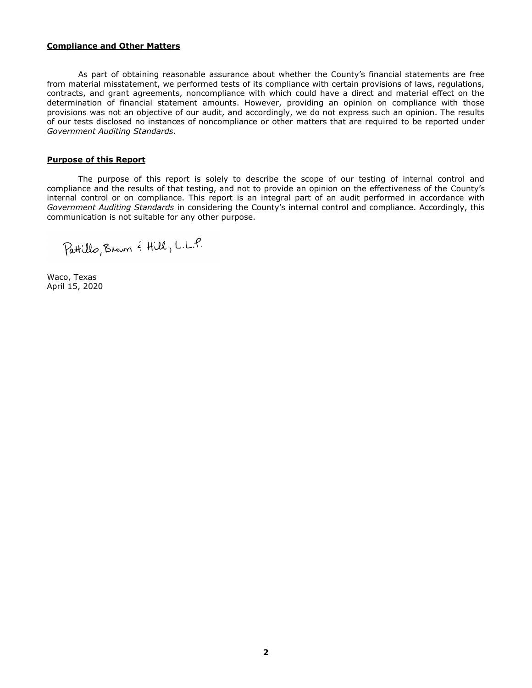#### **Compliance and Other Matters**

As part of obtaining reasonable assurance about whether the County's financial statements are free from material misstatement, we performed tests of its compliance with certain provisions of laws, regulations, contracts, and grant agreements, noncompliance with which could have a direct and material effect on the determination of financial statement amounts. However, providing an opinion on compliance with those provisions was not an objective of our audit, and accordingly, we do not express such an opinion. The results of our tests disclosed no instances of noncompliance or other matters that are required to be reported under *Government Auditing Standards*.

## **Purpose of this Report**

The purpose of this report is solely to describe the scope of our testing of internal control and compliance and the results of that testing, and not to provide an opinion on the effectiveness of the County's internal control or on compliance. This report is an integral part of an audit performed in accordance with *Government Auditing Standards* in considering the County's internal control and compliance. Accordingly, this communication is not suitable for any other purpose.

Pattillo, Brown & Hill, L.L.P.

Waco, Texas April 15, 2020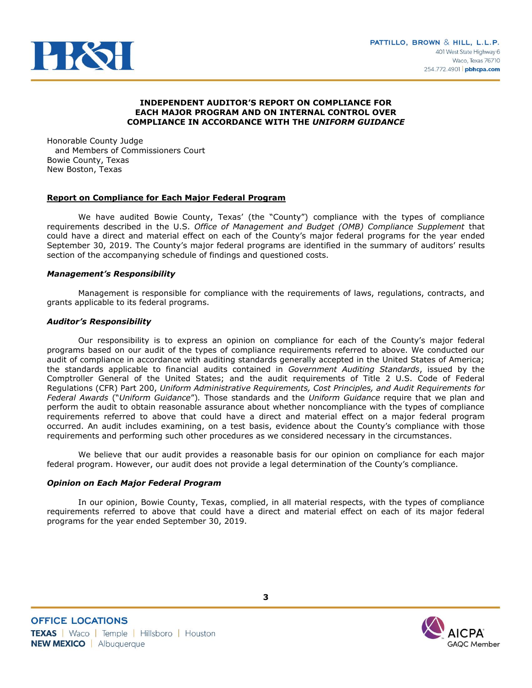

## **INDEPENDENT AUDITOR'S REPORT ON COMPLIANCE FOR EACH MAJOR PROGRAM AND ON INTERNAL CONTROL OVER COMPLIANCE IN ACCORDANCE WITH THE** *UNIFORM GUIDANCE*

Honorable County Judge and Members of Commissioners Court Bowie County, Texas New Boston, Texas

## **Report on Compliance for Each Major Federal Program**

We have audited Bowie County, Texas' (the "County") compliance with the types of compliance requirements described in the U.S. *Office of Management and Budget (OMB) Compliance Supplement* that could have a direct and material effect on each of the County's major federal programs for the year ended September 30, 2019. The County's major federal programs are identified in the summary of auditors' results section of the accompanying schedule of findings and questioned costs.

## *Management's Responsibility*

Management is responsible for compliance with the requirements of laws, regulations, contracts, and grants applicable to its federal programs.

## *Auditor's Responsibility*

Our responsibility is to express an opinion on compliance for each of the County's major federal programs based on our audit of the types of compliance requirements referred to above. We conducted our audit of compliance in accordance with auditing standards generally accepted in the United States of America; the standards applicable to financial audits contained in *Government Auditing Standards*, issued by the Comptroller General of the United States; and the audit requirements of Title 2 U.S. Code of Federal Regulations (CFR) Part 200, *Uniform Administrative Requirements, Cost Principles, and Audit Requirements for Federal Awards* ("*Uniform Guidance*")*.* Those standards and the *Uniform Guidance* require that we plan and perform the audit to obtain reasonable assurance about whether noncompliance with the types of compliance requirements referred to above that could have a direct and material effect on a major federal program occurred. An audit includes examining, on a test basis, evidence about the County's compliance with those requirements and performing such other procedures as we considered necessary in the circumstances.

We believe that our audit provides a reasonable basis for our opinion on compliance for each major federal program. However, our audit does not provide a legal determination of the County's compliance.

## *Opinion on Each Major Federal Program*

In our opinion, Bowie County, Texas, complied, in all material respects, with the types of compliance requirements referred to above that could have a direct and material effect on each of its major federal programs for the year ended September 30, 2019.

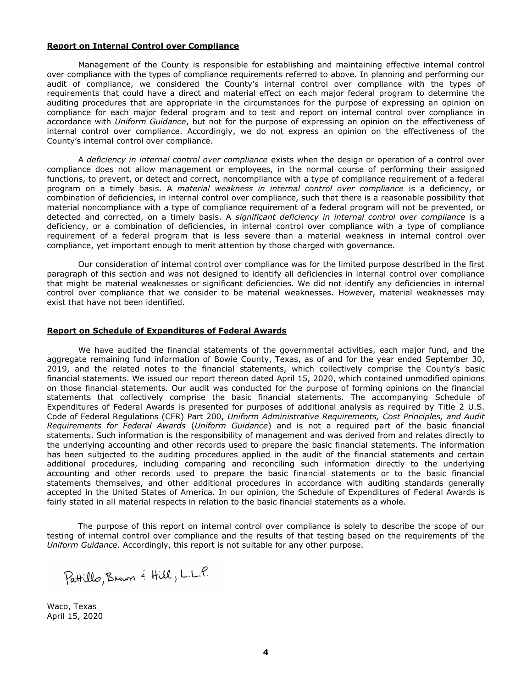## **Report on Internal Control over Compliance**

Management of the County is responsible for establishing and maintaining effective internal control over compliance with the types of compliance requirements referred to above. In planning and performing our audit of compliance, we considered the County's internal control over compliance with the types of requirements that could have a direct and material effect on each major federal program to determine the auditing procedures that are appropriate in the circumstances for the purpose of expressing an opinion on compliance for each major federal program and to test and report on internal control over compliance in accordance with *Uniform Guidance*, but not for the purpose of expressing an opinion on the effectiveness of internal control over compliance. Accordingly, we do not express an opinion on the effectiveness of the County's internal control over compliance.

A *deficiency in internal control over compliance* exists when the design or operation of a control over compliance does not allow management or employees, in the normal course of performing their assigned functions, to prevent, or detect and correct, noncompliance with a type of compliance requirement of a federal program on a timely basis. A *material weakness in internal control over compliance* is a deficiency, or combination of deficiencies, in internal control over compliance, such that there is a reasonable possibility that material noncompliance with a type of compliance requirement of a federal program will not be prevented, or detected and corrected, on a timely basis. A *significant deficiency in internal control over compliance* is a deficiency, or a combination of deficiencies, in internal control over compliance with a type of compliance requirement of a federal program that is less severe than a material weakness in internal control over compliance, yet important enough to merit attention by those charged with governance.

Our consideration of internal control over compliance was for the limited purpose described in the first paragraph of this section and was not designed to identify all deficiencies in internal control over compliance that might be material weaknesses or significant deficiencies. We did not identify any deficiencies in internal control over compliance that we consider to be material weaknesses. However, material weaknesses may exist that have not been identified.

## **Report on Schedule of Expenditures of Federal Awards**

We have audited the financial statements of the governmental activities, each major fund, and the aggregate remaining fund information of Bowie County, Texas, as of and for the year ended September 30, 2019, and the related notes to the financial statements, which collectively comprise the County's basic financial statements. We issued our report thereon dated April 15, 2020, which contained unmodified opinions on those financial statements. Our audit was conducted for the purpose of forming opinions on the financial statements that collectively comprise the basic financial statements. The accompanying Schedule of Expenditures of Federal Awards is presented for purposes of additional analysis as required by Title 2 U.S. Code of Federal Regulations (CFR) Part 200, *Uniform Administrative Requirements, Cost Principles, and Audit Requirements for Federal Awards* (*Uniform Guidance*) and is not a required part of the basic financial statements. Such information is the responsibility of management and was derived from and relates directly to the underlying accounting and other records used to prepare the basic financial statements. The information has been subjected to the auditing procedures applied in the audit of the financial statements and certain additional procedures, including comparing and reconciling such information directly to the underlying accounting and other records used to prepare the basic financial statements or to the basic financial statements themselves, and other additional procedures in accordance with auditing standards generally accepted in the United States of America. In our opinion, the Schedule of Expenditures of Federal Awards is fairly stated in all material respects in relation to the basic financial statements as a whole.

The purpose of this report on internal control over compliance is solely to describe the scope of our testing of internal control over compliance and the results of that testing based on the requirements of the *Uniform Guidance*. Accordingly, this report is not suitable for any other purpose.

Waco, Texas April 15, 2020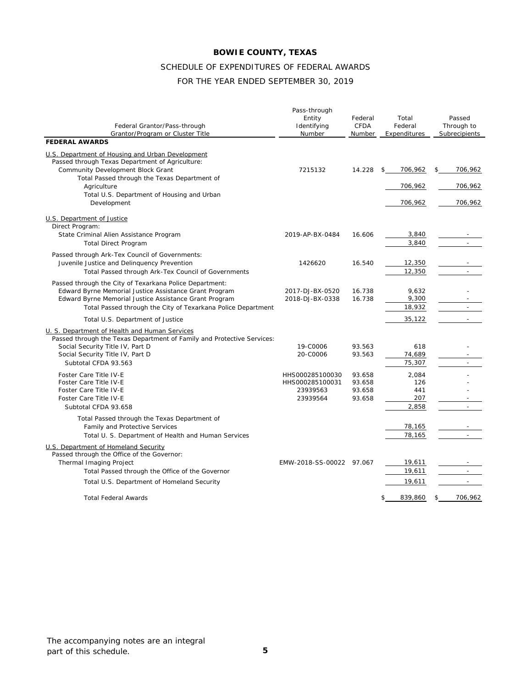# SCHEDULE OF EXPENDITURES OF FEDERAL AWARDS

## FOR THE YEAR ENDED SEPTEMBER 30, 2019

| Federal Grantor/Pass-through<br>Grantor/Program or Cluster Title                                                        | Pass-through<br>Entity<br>Identifying<br>Number | Federal<br>CFDA<br>Number | Total<br>Federal<br>Expenditures | Passed<br>Through to<br>Subrecipients |
|-------------------------------------------------------------------------------------------------------------------------|-------------------------------------------------|---------------------------|----------------------------------|---------------------------------------|
| <b>FEDERAL AWARDS</b>                                                                                                   |                                                 |                           |                                  |                                       |
| U.S. Department of Housing and Urban Development                                                                        |                                                 |                           |                                  |                                       |
| Passed through Texas Department of Agriculture:                                                                         |                                                 |                           |                                  |                                       |
| Community Development Block Grant                                                                                       | 7215132                                         | 14.228                    | 706,962<br>$\mathsf{\$}$         | \$<br>706,962                         |
| Total Passed through the Texas Department of                                                                            |                                                 |                           |                                  |                                       |
| Agriculture                                                                                                             |                                                 |                           | 706,962                          | 706,962                               |
| Total U.S. Department of Housing and Urban<br>Development                                                               |                                                 |                           | 706,962                          | 706,962                               |
| U.S. Department of Justice<br>Direct Program:                                                                           |                                                 |                           |                                  |                                       |
| State Criminal Alien Assistance Program                                                                                 | 2019-AP-BX-0484                                 | 16.606                    | 3,840                            |                                       |
| <b>Total Direct Program</b>                                                                                             |                                                 |                           | 3,840                            |                                       |
| Passed through Ark-Tex Council of Governments:                                                                          |                                                 |                           |                                  |                                       |
| Juvenile Justice and Delinquency Prevention                                                                             | 1426620                                         | 16.540                    | 12,350                           |                                       |
| Total Passed through Ark-Tex Council of Governments                                                                     |                                                 |                           | 12,350                           | $\overline{a}$                        |
| Passed through the City of Texarkana Police Department:                                                                 |                                                 |                           |                                  |                                       |
| Edward Byrne Memorial Justice Assistance Grant Program                                                                  | 2017-DJ-BX-0520                                 | 16.738                    | 9.632                            |                                       |
| Edward Byrne Memorial Justice Assistance Grant Program                                                                  | 2018-DJ-BX-0338                                 | 16.738                    | 9,300                            |                                       |
| Total Passed through the City of Texarkana Police Department                                                            |                                                 |                           | 18,932                           |                                       |
| Total U.S. Department of Justice                                                                                        |                                                 |                           | 35,122                           | $\sim$                                |
| U. S. Department of Health and Human Services<br>Passed through the Texas Department of Family and Protective Services: |                                                 |                           |                                  |                                       |
| Social Security Title IV, Part D                                                                                        | 19-C0006                                        | 93.563                    | 618                              |                                       |
| Social Security Title IV, Part D                                                                                        | 20-C0006                                        | 93.563                    | 74,689                           |                                       |
| Subtotal CFDA 93.563                                                                                                    |                                                 |                           | 75,307                           |                                       |
| Foster Care Title IV-E                                                                                                  | HHS000285100030                                 | 93.658                    | 2,084                            |                                       |
| Foster Care Title IV-E                                                                                                  | HHS000285100031                                 | 93.658                    | 126                              |                                       |
| Foster Care Title IV-E                                                                                                  | 23939563                                        | 93.658                    | 441                              |                                       |
| Foster Care Title IV-E                                                                                                  | 23939564                                        | 93.658                    | 207                              |                                       |
| Subtotal CFDA 93.658                                                                                                    |                                                 |                           | 2,858                            | $\overline{a}$                        |
| Total Passed through the Texas Department of                                                                            |                                                 |                           |                                  |                                       |
| Family and Protective Services                                                                                          |                                                 |                           | 78,165                           |                                       |
| Total U. S. Department of Health and Human Services                                                                     |                                                 |                           | 78,165                           |                                       |
| U.S. Department of Homeland Security<br>Passed through the Office of the Governor:                                      |                                                 |                           |                                  |                                       |
| Thermal Imaging Project                                                                                                 | EMW-2018-SS-00022 97.067                        |                           | 19,611                           |                                       |
| Total Passed through the Office of the Governor                                                                         |                                                 |                           | 19,611                           | L.                                    |
| Total U.S. Department of Homeland Security                                                                              |                                                 |                           | 19,611                           |                                       |
| <b>Total Federal Awards</b>                                                                                             |                                                 |                           | 839,860<br>\$                    | 706,962<br>\$                         |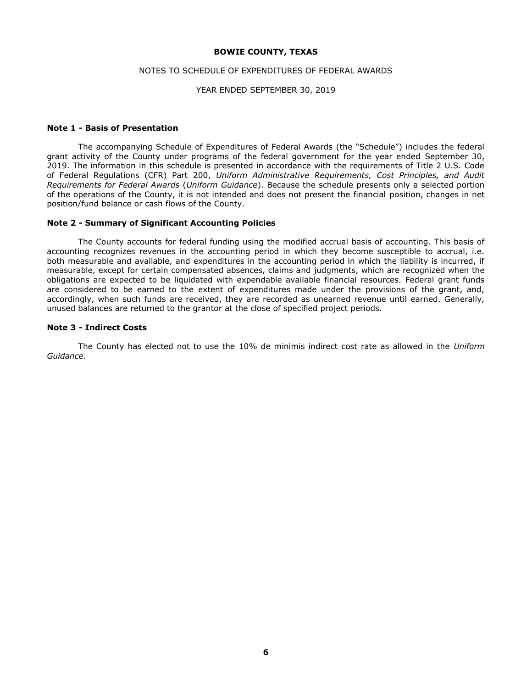## NOTES TO SCHEDULE OF EXPENDITURES OF FEDERAL AWARDS

#### YEAR ENDED SEPTEMBER 30, 2019

## **Note 1 - Basis of Presentation**

The accompanying Schedule of Expenditures of Federal Awards (the "Schedule") includes the federal grant activity of the County under programs of the federal government for the year ended September 30, 2019. The information in this schedule is presented in accordance with the requirements of Title 2 U.S. Code of Federal Regulations (CFR) Part 200, *Uniform Administrative Requirements, Cost Principles, and Audit Requirements for Federal Awards* (*Uniform Guidance*). Because the schedule presents only a selected portion of the operations of the County, it is not intended and does not present the financial position, changes in net position/fund balance or cash flows of the County.

#### **Note 2 - Summary of Significant Accounting Policies**

The County accounts for federal funding using the modified accrual basis of accounting. This basis of accounting recognizes revenues in the accounting period in which they become susceptible to accrual, i.e. both measurable and available, and expenditures in the accounting period in which the liability is incurred, if measurable, except for certain compensated absences, claims and judgments, which are recognized when the obligations are expected to be liquidated with expendable available financial resources. Federal grant funds are considered to be earned to the extent of expenditures made under the provisions of the grant, and, accordingly, when such funds are received, they are recorded as unearned revenue until earned. Generally, unused balances are returned to the grantor at the close of specified project periods.

## **Note 3 - Indirect Costs**

The County has elected not to use the 10% de minimis indirect cost rate as allowed in the *Uniform Guidance*.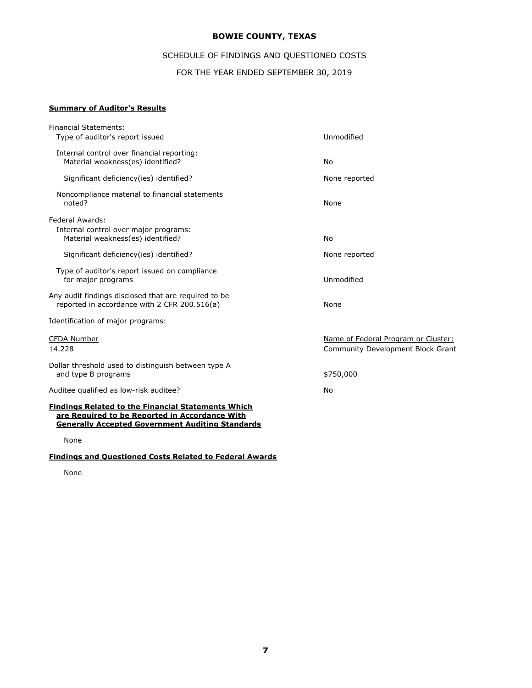# SCHEDULE OF FINDINGS AND QUESTIONED COSTS

FOR THE YEAR ENDED SEPTEMBER 30, 2019

## **Summary of Auditor's Results**

| <b>Financial Statements:</b>                                                                                                                                           |                                                                                 |
|------------------------------------------------------------------------------------------------------------------------------------------------------------------------|---------------------------------------------------------------------------------|
| Type of auditor's report issued                                                                                                                                        | Unmodified                                                                      |
| Internal control over financial reporting:<br>Material weakness(es) identified?                                                                                        | No                                                                              |
| Significant deficiency (ies) identified?                                                                                                                               | None reported                                                                   |
| Noncompliance material to financial statements<br>noted?                                                                                                               | None                                                                            |
| Federal Awards:<br>Internal control over major programs:<br>Material weakness(es) identified?                                                                          | No                                                                              |
| Significant deficiency (ies) identified?                                                                                                                               | None reported                                                                   |
| Type of auditor's report issued on compliance<br>for major programs                                                                                                    | Unmodified                                                                      |
| Any audit findings disclosed that are required to be<br>reported in accordance with 2 CFR 200.516(a)                                                                   | None                                                                            |
| Identification of major programs:                                                                                                                                      |                                                                                 |
| <b>CFDA Number</b><br>14.228                                                                                                                                           | Name of Federal Program or Cluster:<br><b>Community Development Block Grant</b> |
| Dollar threshold used to distinguish between type A<br>and type B programs                                                                                             | \$750,000                                                                       |
| Auditee qualified as low-risk auditee?                                                                                                                                 | No                                                                              |
| <b>Findings Related to the Financial Statements Which</b><br>are Required to be Reported in Accordance With<br><b>Generally Accepted Government Auditing Standards</b> |                                                                                 |

None

## **Findings and Questioned Costs Related to Federal Awards**

None